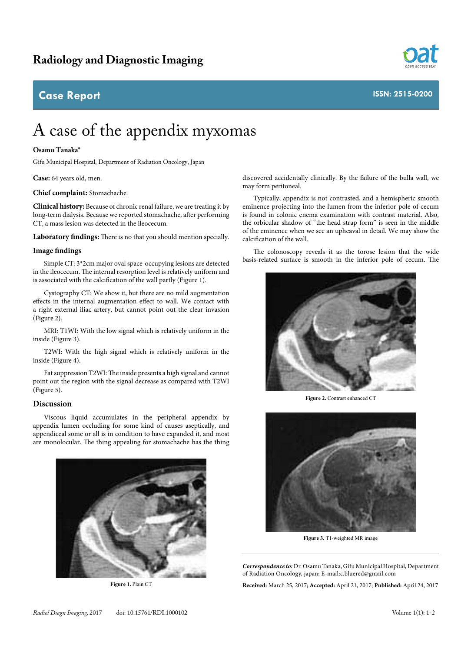## **Case Report**



# A case of the appendix myxomas

### **Osamu Tanaka\***

Gifu Municipal Hospital, Department of Radiation Oncology, Japan

**Case:** 64 years old, men.

**Chief complaint:** Stomachache.

**Clinical history:** Because of chronic renal failure, we are treating it by long-term dialysis. Because we reported stomachache, after performing CT, a mass lesion was detected in the ileocecum.

**Laboratory findings:** There is no that you should mention specially.

#### **Image findings**

Simple CT: 3\*2cm major oval space-occupying lesions are detected in the ileocecum. The internal resorption level is relatively uniform and is associated with the calcification of the wall partly (Figure 1).

Cystography CT: We show it, but there are no mild augmentation effects in the internal augmentation effect to wall. We contact with a right external iliac artery, but cannot point out the clear invasion (Figure 2).

MRI: T1WI: With the low signal which is relatively uniform in the inside (Figure 3).

T2WI: With the high signal which is relatively uniform in the inside (Figure 4).

Fat suppression T2WI: The inside presents a high signal and cannot point out the region with the signal decrease as compared with T2WI (Figure 5).

### **Discussion**

Viscous liquid accumulates in the peripheral appendix by appendix lumen occluding for some kind of causes aseptically, and appendiceal some or all is in condition to have expanded it, and most are monolocular. The thing appealing for stomachache has the thing



**Figure 1.** Plain CT

discovered accidentally clinically. By the failure of the bulla wall, we may form peritoneal.

Typically, appendix is not contrasted, and a hemispheric smooth eminence projecting into the lumen from the inferior pole of cecum is found in colonic enema examination with contrast material. Also, the orbicular shadow of "the head strap form" is seen in the middle of the eminence when we see an upheaval in detail. We may show the calcification of the wall.

The colonoscopy reveals it as the torose lesion that the wide basis-related surface is smooth in the inferior pole of cecum. The



**Figure 2.** Contrast enhanced CT



**Figure 3.** T1-weighted MR image

*Correspondence to:* Dr. Osamu Tanaka, Gifu Municipal Hospital, Department of Radiation Oncology, japan; E-mail:c.bluered@gmail.com

**Received:** March 25, 2017; **Accepted:** April 21, 2017; **Published:** April 24, 2017